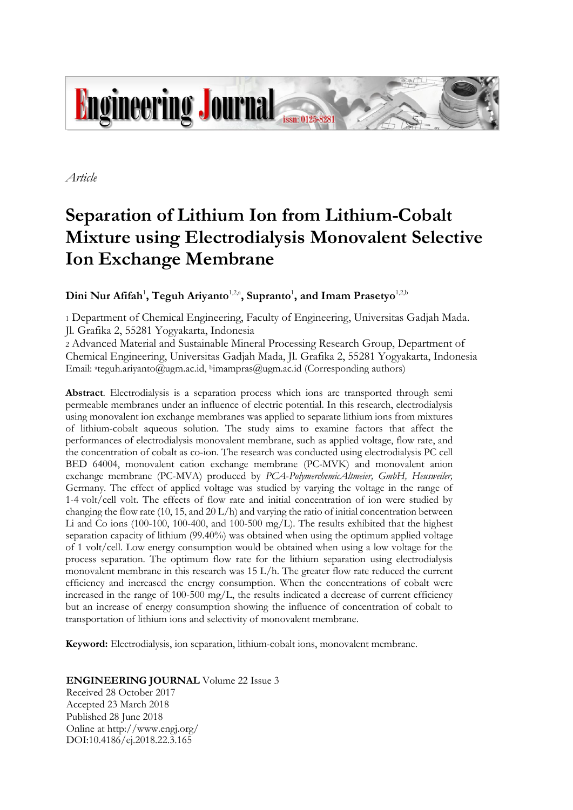

*Article*

# **Separation of Lithium Ion from Lithium-Cobalt Mixture using Electrodialysis Monovalent Selective Ion Exchange Membrane**

 $\mathbf{Dini}$   $\mathbf{Nur}$   $\mathbf{Affah}^1$ ,  $\mathbf{Teguh}$   $\mathbf{Airyanto}^{1,2,a}$ ,  $\mathbf{Supranto}^1$ , and  $\mathbf{Imam}$   $\mathbf{Prasetyo}^{1,2,b}$ 

<sup>1</sup> Department of Chemical Engineering, Faculty of Engineering, Universitas Gadjah Mada. Jl. Grafika 2, 55281 Yogyakarta, Indonesia

<sup>2</sup> Advanced Material and Sustainable Mineral Processing Research Group, Department of Chemical Engineering, Universitas Gadjah Mada, Jl. Grafika 2, 55281 Yogyakarta, Indonesia Email: <sup>a</sup>teguh.ariyanto@ugm.ac.id, <sup>b</sup>imampras@ugm.ac.id (Corresponding authors)

**Abstract**. Electrodialysis is a separation process which ions are transported through semi permeable membranes under an influence of electric potential. In this research, electrodialysis using monovalent ion exchange membranes was applied to separate lithium ions from mixtures of lithium-cobalt aqueous solution. The study aims to examine factors that affect the performances of electrodialysis monovalent membrane, such as applied voltage, flow rate, and the concentration of cobalt as co-ion. The research was conducted using electrodialysis PC cell BED 64004, monovalent cation exchange membrane (PC-MVK) and monovalent anion exchange membrane (PC-MVA) produced by *PCA*-*PolymerchemicAltmeier, GmbH, Heusweiler,*  Germany. The effect of applied voltage was studied by varying the voltage in the range of 1-4 volt/cell volt. The effects of flow rate and initial concentration of ion were studied by changing the flow rate  $(10, 15,$  and  $20 \text{ L/h})$  and varying the ratio of initial concentration between Li and Co ions (100-100, 100-400, and 100-500 mg/L). The results exhibited that the highest separation capacity of lithium (99.40%) was obtained when using the optimum applied voltage of 1 volt/cell. Low energy consumption would be obtained when using a low voltage for the process separation. The optimum flow rate for the lithium separation using electrodialysis monovalent membrane in this research was 15 L/h. The greater flow rate reduced the current efficiency and increased the energy consumption. When the concentrations of cobalt were increased in the range of 100-500 mg/L, the results indicated a decrease of current efficiency but an increase of energy consumption showing the influence of concentration of cobalt to transportation of lithium ions and selectivity of monovalent membrane.

**Keyword:** Electrodialysis, ion separation, lithium-cobalt ions, monovalent membrane.

**ENGINEERING JOURNAL** Volume 22 Issue 3

Received 28 October 2017 Accepted 23 March 2018 Published 28 June 2018 Online at http://www.engj.org/ DOI:10.4186/ej.2018.22.3.165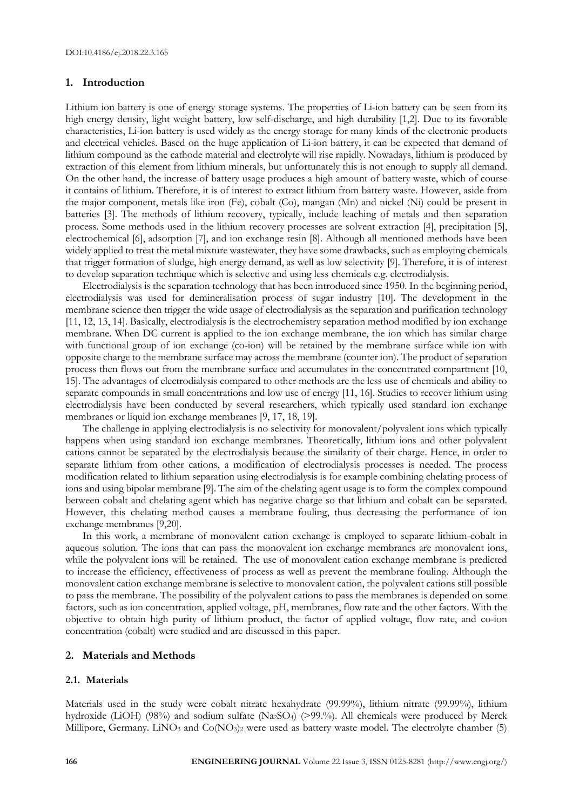## **1. Introduction**

Lithium ion battery is one of energy storage systems. The properties of Li-ion battery can be seen from its high energy density, light weight battery, low self-discharge, and high durability [1,2]. Due to its favorable characteristics, Li-ion battery is used widely as the energy storage for many kinds of the electronic products and electrical vehicles. Based on the huge application of Li-ion battery, it can be expected that demand of lithium compound as the cathode material and electrolyte will rise rapidly. Nowadays, lithium is produced by extraction of this element from lithium minerals, but unfortunately this is not enough to supply all demand. On the other hand, the increase of battery usage produces a high amount of battery waste, which of course it contains of lithium. Therefore, it is of interest to extract lithium from battery waste. However, aside from the major component, metals like iron (Fe), cobalt (Co), mangan (Mn) and nickel (Ni) could be present in batteries [3]. The methods of lithium recovery, typically, include leaching of metals and then separation process. Some methods used in the lithium recovery processes are solvent extraction [4], precipitation [5], electrochemical [6], adsorption [7], and ion exchange resin [8]. Although all mentioned methods have been widely applied to treat the metal mixture wastewater, they have some drawbacks, such as employing chemicals that trigger formation of sludge, high energy demand, as well as low selectivity [9]. Therefore, it is of interest to develop separation technique which is selective and using less chemicals e.g. electrodialysis.

Electrodialysis is the separation technology that has been introduced since 1950. In the beginning period, electrodialysis was used for demineralisation process of sugar industry [10]. The development in the membrane science then trigger the wide usage of electrodialysis as the separation and purification technology [11, 12, 13, 14]. Basically, electrodialysis is the electrochemistry separation method modified by ion exchange membrane. When DC current is applied to the ion exchange membrane, the ion which has similar charge with functional group of ion exchange (co-ion) will be retained by the membrane surface while ion with opposite charge to the membrane surface may across the membrane (counter ion). The product of separation process then flows out from the membrane surface and accumulates in the concentrated compartment [10, 15]. The advantages of electrodialysis compared to other methods are the less use of chemicals and ability to separate compounds in small concentrations and low use of energy [11, 16]. Studies to recover lithium using electrodialysis have been conducted by several researchers, which typically used standard ion exchange membranes or liquid ion exchange membranes [9, 17, 18, 19].

The challenge in applying electrodialysis is no selectivity for monovalent/polyvalent ions which typically happens when using standard ion exchange membranes. Theoretically, lithium ions and other polyvalent cations cannot be separated by the electrodialysis because the similarity of their charge. Hence, in order to separate lithium from other cations, a modification of electrodialysis processes is needed. The process modification related to lithium separation using electrodialysis is for example combining chelating process of ions and using bipolar membrane [9]. The aim of the chelating agent usage is to form the complex compound between cobalt and chelating agent which has negative charge so that lithium and cobalt can be separated. However, this chelating method causes a membrane fouling, thus decreasing the performance of ion exchange membranes [9,20].

In this work, a membrane of monovalent cation exchange is employed to separate lithium-cobalt in aqueous solution. The ions that can pass the monovalent ion exchange membranes are monovalent ions, while the polyvalent ions will be retained. The use of monovalent cation exchange membrane is predicted to increase the efficiency, effectiveness of process as well as prevent the membrane fouling. Although the monovalent cation exchange membrane is selective to monovalent cation, the polyvalent cations still possible to pass the membrane. The possibility of the polyvalent cations to pass the membranes is depended on some factors, such as ion concentration, applied voltage, pH, membranes, flow rate and the other factors. With the objective to obtain high purity of lithium product, the factor of applied voltage, flow rate, and co-ion concentration (cobalt) were studied and are discussed in this paper.

#### **2. Materials and Methods**

#### **2.1. Materials**

Materials used in the study were cobalt nitrate hexahydrate (99.99%), lithium nitrate (99.99%), lithium hydroxide (LiOH) (98%) and sodium sulfate (Na<sub>2</sub>SO<sub>4</sub>) (>99.%). All chemicals were produced by Merck Millipore, Germany. LiNO<sub>3</sub> and Co(NO<sub>3</sub>)<sub>2</sub> were used as battery waste model. The electrolyte chamber (5)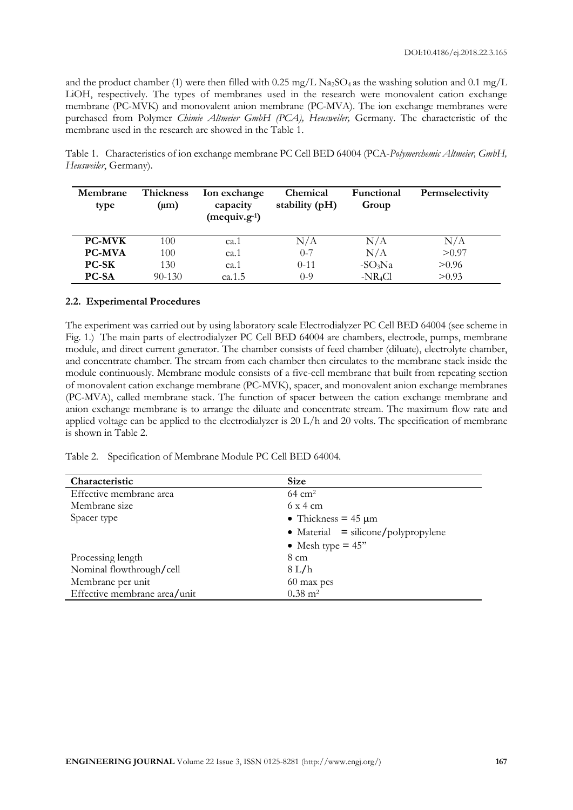and the product chamber (1) were then filled with 0.25 mg/L Na<sub>2</sub>SO<sub>4</sub> as the washing solution and 0.1 mg/L LiOH, respectively. The types of membranes used in the research were monovalent cation exchange membrane (PC-MVK) and monovalent anion membrane (PC-MVA). The ion exchange membranes were purchased from Polymer *Chimie Altmeier GmbH (PCA), Heusweiler,* Germany. The characteristic of the membrane used in the research are showed in the Table 1.

Table 1. Characteristics of ion exchange membrane PC Cell BED 64004 (PCA-*Polymerchemic Altmeier, GmbH, Heusweiler*, Germany).

| Membrane<br>type | Thickness<br>$(\mu m)$ | Ion exchange<br>capacity<br>$(\text{mequiv}.g^{-1})$ | Chemical<br>stability (pH) | Functional<br>Group | Permselectivity |
|------------------|------------------------|------------------------------------------------------|----------------------------|---------------------|-----------------|
| <b>PC-MVK</b>    | 100                    | ca.1                                                 | N/A                        | N/A                 | N/A             |
| <b>PC-MVA</b>    | 100                    | ca.1                                                 | $0 - 7$                    | N/A                 | > 0.97          |
| <b>PC-SK</b>     | 130                    | ca.1                                                 | $0 - 11$                   | $-SO3Na$            | > 0.96          |
| <b>PC-SA</b>     | $90 - 130$             | ca.1.5                                               | $0 - 9$                    | $-NR_4Cl$           | > 0.93          |

#### **2.2. Experimental Procedures**

The experiment was carried out by using laboratory scale Electrodialyzer PC Cell BED 64004 (see scheme in Fig. 1.) The main parts of electrodialyzer PC Cell BED 64004 are chambers, electrode, pumps, membrane module, and direct current generator. The chamber consists of feed chamber (diluate), electrolyte chamber, and concentrate chamber. The stream from each chamber then circulates to the membrane stack inside the module continuously. Membrane module consists of a five-cell membrane that built from repeating section of monovalent cation exchange membrane (PC-MVK), spacer, and monovalent anion exchange membranes (PC-MVA), called membrane stack. The function of spacer between the cation exchange membrane and anion exchange membrane is to arrange the diluate and concentrate stream. The maximum flow rate and applied voltage can be applied to the electrodialyzer is 20 L/h and 20 volts. The specification of membrane is shown in Table 2.

Table 2. Specification of Membrane Module PC Cell BED 64004.

| Characteristic               | <b>Size</b>                           |  |  |
|------------------------------|---------------------------------------|--|--|
| Effective membrane area      | $64 \text{ cm}^2$                     |  |  |
| Membrane size                | $6 \times 4$ cm                       |  |  |
| Spacer type                  | • Thickness = $45 \mu m$              |  |  |
|                              | • Material $=$ silicone/polypropylene |  |  |
|                              | • Mesh type $= 45$ "                  |  |  |
| Processing length            | $8 \text{ cm}$                        |  |  |
| Nominal flowthrough/cell     | 8 L/h                                 |  |  |
| Membrane per unit            | 60 max pcs                            |  |  |
| Effective membrane area/unit | $0.38 \; \mathrm{m}^2$                |  |  |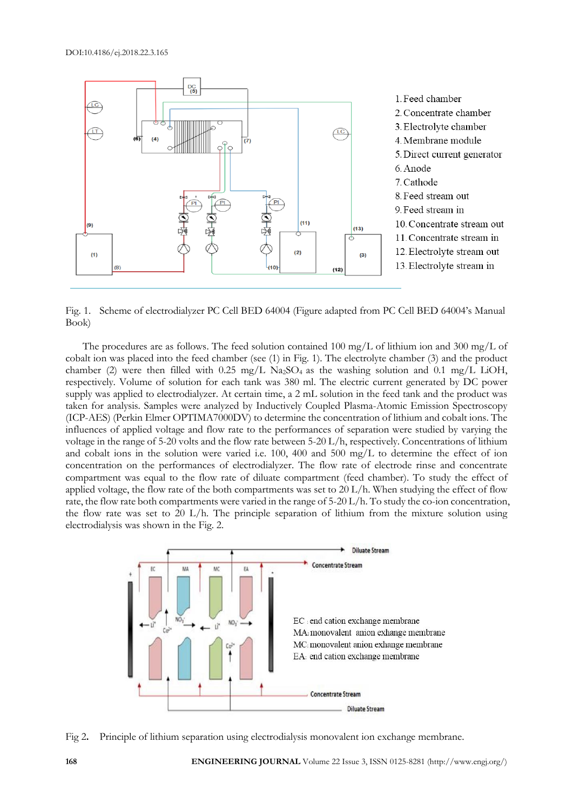

Fig. 1. Scheme of electrodialyzer PC Cell BED 64004 (Figure adapted from PC Cell BED 64004's Manual Book)

The procedures are as follows. The feed solution contained 100 mg/L of lithium ion and 300 mg/L of cobalt ion was placed into the feed chamber (see (1) in Fig. 1). The electrolyte chamber (3) and the product chamber (2) were then filled with  $0.25 \text{ mg/L Na}_2\text{SO}_4$  as the washing solution and  $0.1 \text{ mg/L LiOH}$ , respectively. Volume of solution for each tank was 380 ml. The electric current generated by DC power supply was applied to electrodialyzer. At certain time, a 2 mL solution in the feed tank and the product was taken for analysis. Samples were analyzed by Inductively Coupled Plasma-Atomic Emission Spectroscopy (ICP-AES) (Perkin Elmer OPTIMA7000DV) to determine the concentration of lithium and cobalt ions. The influences of applied voltage and flow rate to the performances of separation were studied by varying the voltage in the range of 5-20 volts and the flow rate between 5-20 L/h, respectively. Concentrations of lithium and cobalt ions in the solution were varied i.e. 100, 400 and 500 mg/L to determine the effect of ion concentration on the performances of electrodialyzer. The flow rate of electrode rinse and concentrate compartment was equal to the flow rate of diluate compartment (feed chamber). To study the effect of applied voltage, the flow rate of the both compartments was set to 20 L/h. When studying the effect of flow rate, the flow rate both compartments were varied in the range of 5-20 L/h. To study the co-ion concentration, the flow rate was set to 20 L/h. The principle separation of lithium from the mixture solution using electrodialysis was shown in the Fig. 2.



Fig 2**.** Principle of lithium separation using electrodialysis monovalent ion exchange membrane.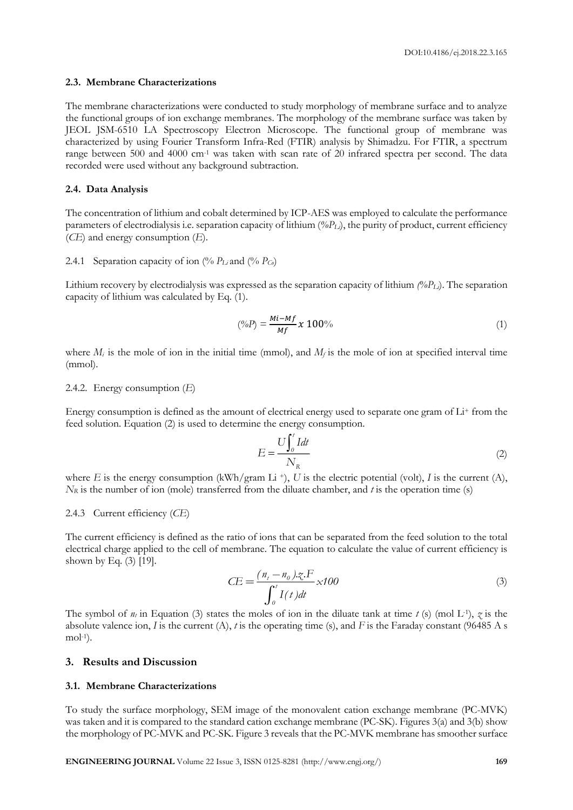#### **2.3. Membrane Characterizations**

The membrane characterizations were conducted to study morphology of membrane surface and to analyze the functional groups of ion exchange membranes. The morphology of the membrane surface was taken by JEOL JSM-6510 LA Spectroscopy Electron Microscope. The functional group of membrane was characterized by using Fourier Transform Infra-Red (FTIR) analysis by Shimadzu. For FTIR, a spectrum range between 500 and 4000 cm<sup>-1</sup> was taken with scan rate of 20 infrared spectra per second. The data recorded were used without any background subtraction.

#### **2.4. Data Analysis**

The concentration of lithium and cobalt determined by ICP-AES was employed to calculate the performance parameters of electrodialysis i.e. separation capacity of lithium (*%PLi*), the purity of product, current efficiency (*CE*) and energy consumption (*E*).

#### 2.4.1 Separation capacity of ion  $\frac{0}{0} P_L$  and  $\frac{0}{0} P_C$

Lithium recovery by electrodialysis was expressed as the separation capacity of lithium *(%PLi*). The separation capacity of lithium was calculated by Eq. (1).

$$
(\%P) = \frac{Mi - Mf}{Mf} x 100\% \tag{1}
$$

where  $M_i$  is the mole of ion in the initial time (mmol), and  $M_f$  is the mole of ion at specified interval time (mmol).

#### 2.4.2. Energy consumption (*E*)

Energy consumption is defined as the amount of electrical energy used to separate one gram of  $Li<sup>+</sup>$  from the feed solution. Equation (2) is used to determine the energy consumption.

$$
E = \frac{U \int_{0}^{t} I dt}{N_{R}}
$$
 (2)

where *E* is the energy consumption (kWh/gram Li<sup>+</sup>), *U* is the electric potential (volt), *I* is the current (A), *N<sub>R</sub>* is the number of ion (mole) transferred from the diluate chamber, and *t* is the operation time (s)

### 2.4.3 Current efficiency (*CE*)

The current efficiency is defined as the ratio of ions that can be separated from the feed solution to the total electrical charge applied to the cell of membrane. The equation to calculate the value of current efficiency is shown by Eq. (3) [19].

$$
CE = \frac{(n_t - n_0)\mathcal{Z} \cdot F}{\int_0^t I(t)dt} \times 100
$$
\n(3)

The symbol of  $n_t$  in Equation (3) states the moles of ion in the diluate tank at time  $t$  (s) (mol L<sup>-1</sup>),  $\zeta$  is the absolute valence ion, *I* is the current (A), *t* is the operating time (s), and *F* is the Faraday constant (96485 A s mol-<sup>1</sup> ).

## **3. Results and Discussion**

## **3.1. Membrane Characterizations**

To study the surface morphology, SEM image of the monovalent cation exchange membrane (PC-MVK) was taken and it is compared to the standard cation exchange membrane (PC-SK). Figures 3(a) and 3(b) show the morphology of PC-MVK and PC-SK. Figure 3 reveals that the PC-MVK membrane has smoother surface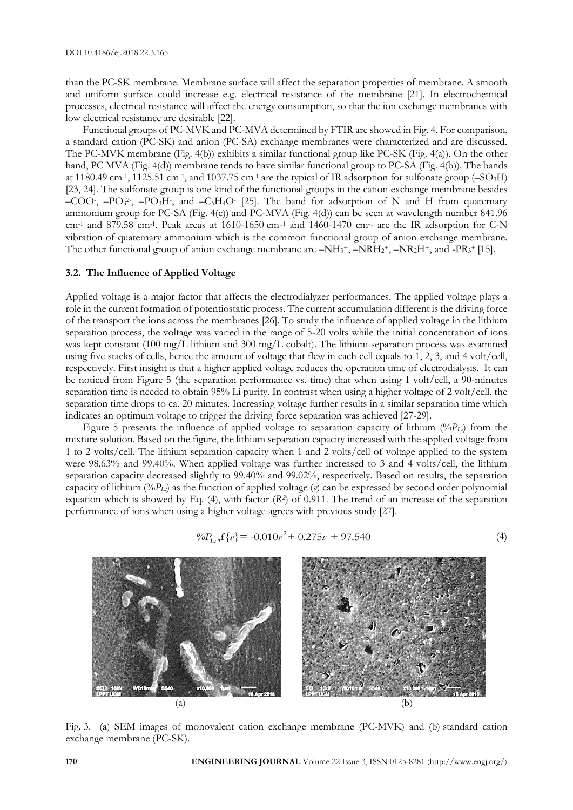than the PC-SK membrane. Membrane surface will affect the separation properties of membrane. A smooth and uniform surface could increase e.g. electrical resistance of the membrane [21]. In electrochemical processes, electrical resistance will affect the energy consumption, so that the ion exchange membranes with low electrical resistance are desirable [22].

Functional groups of PC-MVK and PC-MVA determined by FTIR are showed in Fig. 4. For comparison, a standard cation (PC-SK) and anion (PC-SA) exchange membranes were characterized and are discussed. The PC-MVK membrane (Fig. 4(b)) exhibits a similar functional group like PC-SK (Fig. 4(a)). On the other hand, PC MVA (Fig. 4(d)) membrane tends to have similar functional group to PC-SA (Fig. 4(b)). The bands at 1180.49 cm<sup>-1</sup>, 1125.51 cm<sup>-1</sup>, and 1037.75 cm<sup>-1</sup> are the typical of IR adsorption for sulfonate group (-SO<sub>3</sub>H) [23, 24]. The sulfonate group is one kind of the functional groups in the cation exchange membrane besides  $-COO$ ,  $-PO_3^2$ ,  $-PO_3H$ , and  $-C_6H_4O$  [25]. The band for adsorption of N and H from quaternary ammonium group for PC-SA (Fig. 4(c)) and PC-MVA (Fig. 4(d)) can be seen at wavelength number 841.96 cm-<sup>1</sup> and 879.58 cm-<sup>1</sup> . Peak areas at 1610-1650 cm-<sup>1</sup> and 1460-1470 cm-<sup>1</sup> are the IR adsorption for C-N vibration of quaternary ammonium which is the common functional group of anion exchange membrane. The other functional group of anion exchange membrane are  $-NH_3^+$ ,  $-NRH_2^+$ ,  $-NR_2H^+$ , and  $-PR_3^+[15]$ .

## **3.2. The Influence of Applied Voltage**

Applied voltage is a major factor that affects the electrodialyzer performances. The applied voltage plays a role in the current formation of potentiostatic process. The current accumulation different is the driving force of the transport the ions across the membranes [26]. To study the influence of applied voltage in the lithium separation process, the voltage was varied in the range of 5-20 volts while the initial concentration of ions was kept constant (100 mg/L lithium and 300 mg/L cobalt). The lithium separation process was examined using five stacks of cells, hence the amount of voltage that flew in each cell equals to 1, 2, 3, and 4 volt/cell, respectively. First insight is that a higher applied voltage reduces the operation time of electrodialysis. It can be noticed from Figure 5 (the separation performance vs. time) that when using 1 volt/cell, a 90-minutes separation time is needed to obtain 95% Li purity. In contrast when using a higher voltage of 2 volt/cell, the separation time drops to ca. 20 minutes. Increasing voltage further results in a similar separation time which indicates an optimum voltage to trigger the driving force separation was achieved [27-29].

Figure 5 presents the influence of applied voltage to separation capacity of lithium (%*PLi*) from the mixture solution. Based on the figure, the lithium separation capacity increased with the applied voltage from 1 to 2 volts/cell. The lithium separation capacity when 1 and 2 volts/cell of voltage applied to the system were 98.63% and 99.40%. When applied voltage was further increased to 3 and 4 volts/cell, the lithium separation capacity decreased slightly to 99.40% and 99.02%, respectively. Based on results, the separation capacity of lithium (%*PLi*) as the function of applied voltage (*v*) can be expressed by second order polynomial equation which is showed by Eq. (4), with factor (*R<sup>2</sup>* ) of 0.911. The trend of an increase of the separation performance of ions when using a higher voltage agrees with previous study [27].

$$
\%P_{Li}f\{v\} = -0.010v^2 + 0.275v + 97.540\tag{4}
$$



Fig. 3. (a) SEM images of monovalent cation exchange membrane (PC-MVK) and (b) standard cation exchange membrane (PC-SK).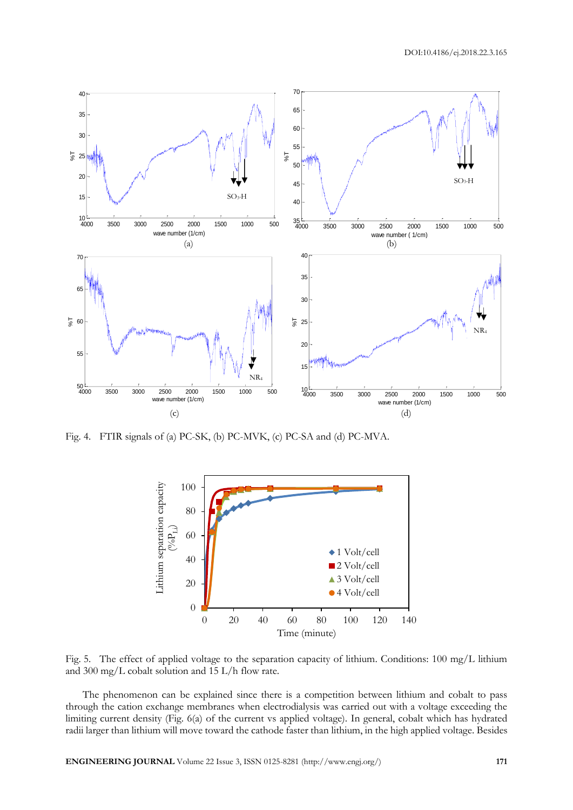

Fig. 4. FTIR signals of (a) PC-SK, (b) PC-MVK, (c) PC-SA and (d) PC-MVA.



Fig. 5. The effect of applied voltage to the separation capacity of lithium. Conditions: 100 mg/L lithium and 300 mg/L cobalt solution and 15 L/h flow rate.

The phenomenon can be explained since there is a competition between lithium and cobalt to pass through the cation exchange membranes when electrodialysis was carried out with a voltage exceeding the limiting current density (Fig. 6(a) of the current vs applied voltage). In general, cobalt which has hydrated radii larger than lithium will move toward the cathode faster than lithium, in the high applied voltage. Besides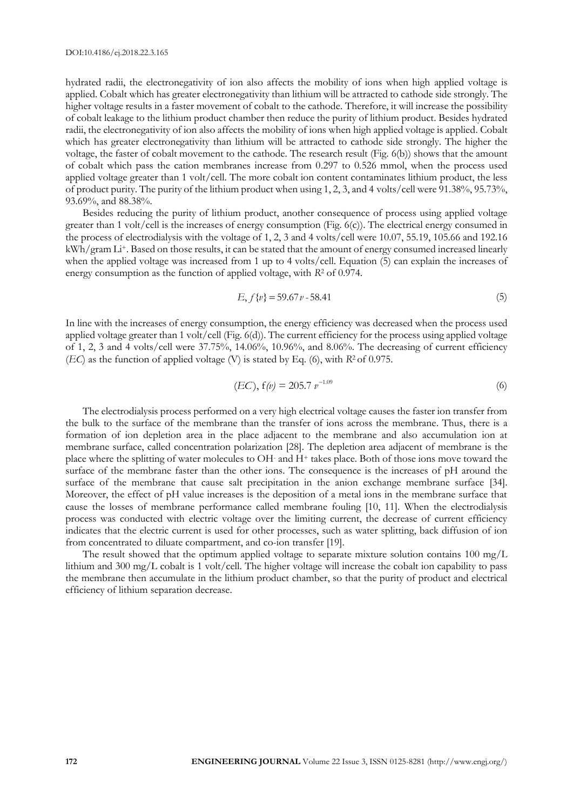hydrated radii, the electronegativity of ion also affects the mobility of ions when high applied voltage is applied. Cobalt which has greater electronegativity than lithium will be attracted to cathode side strongly. The higher voltage results in a faster movement of cobalt to the cathode. Therefore, it will increase the possibility of cobalt leakage to the lithium product chamber then reduce the purity of lithium product. Besides hydrated radii, the electronegativity of ion also affects the mobility of ions when high applied voltage is applied. Cobalt which has greater electronegativity than lithium will be attracted to cathode side strongly. The higher the voltage, the faster of cobalt movement to the cathode. The research result (Fig. 6(b)) shows that the amount of cobalt which pass the cation membranes increase from 0.297 to 0.526 mmol, when the process used applied voltage greater than 1 volt/cell. The more cobalt ion content contaminates lithium product, the less of product purity. The purity of the lithium product when using 1, 2, 3, and 4 volts/cell were 91.38%, 95.73%, 93.69%, and 88.38%.

Besides reducing the purity of lithium product, another consequence of process using applied voltage greater than 1 volt/cell is the increases of energy consumption (Fig. 6(c)). The electrical energy consumed in the process of electrodialysis with the voltage of 1, 2, 3 and 4 volts/cell were 10.07, 55.19, 105.66 and 192.16 kWh/gram Li+. Based on those results, it can be stated that the amount of energy consumed increased linearly when the applied voltage was increased from 1 up to 4 volts/cell. Equation (5) can explain the increases of energy consumption as the function of applied voltage, with *R*<sup>2</sup> of 0.974.

$$
E, f\{v\} = 59.67v - 58.41\tag{5}
$$

In line with the increases of energy consumption, the energy efficiency was decreased when the process used applied voltage greater than 1 volt/cell (Fig. 6(d)). The current efficiency for the process using applied voltage of 1, 2, 3 and 4 volts/cell were 37.75%, 14.06%, 10.96%, and 8.06%. The decreasing of current efficiency (*EC*) as the function of applied voltage (V) is stated by Eq. (6), with *R*2 of 0.975.

$$
(EC), f(\nu) = 205.7 \nu^{-1.09}
$$
 (6)

The electrodialysis process performed on a very high electrical voltage causes the faster ion transfer from the bulk to the surface of the membrane than the transfer of ions across the membrane. Thus, there is a formation of ion depletion area in the place adjacent to the membrane and also accumulation ion at membrane surface, called concentration polarization [28]. The depletion area adjacent of membrane is the place where the splitting of water molecules to OH- and H<sup>+</sup> takes place. Both of those ions move toward the surface of the membrane faster than the other ions. The consequence is the increases of pH around the surface of the membrane that cause salt precipitation in the anion exchange membrane surface [34]. Moreover, the effect of pH value increases is the deposition of a metal ions in the membrane surface that cause the losses of membrane performance called membrane fouling [10, 11]. When the electrodialysis process was conducted with electric voltage over the limiting current, the decrease of current efficiency indicates that the electric current is used for other processes, such as water splitting, back diffusion of ion from concentrated to diluate compartment, and co-ion transfer [19].

The result showed that the optimum applied voltage to separate mixture solution contains  $100 \text{ mg/L}$ lithium and 300 mg/L cobalt is 1 volt/cell. The higher voltage will increase the cobalt ion capability to pass the membrane then accumulate in the lithium product chamber, so that the purity of product and electrical efficiency of lithium separation decrease.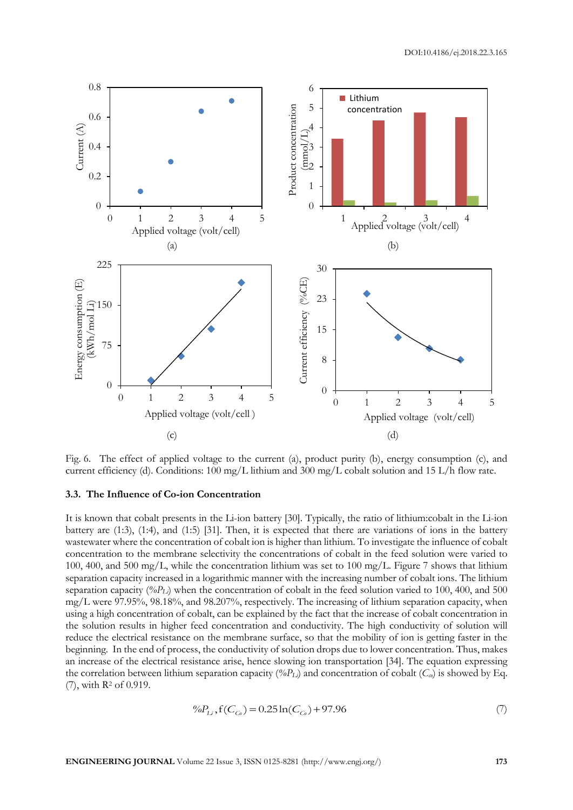

Fig. 6. The effect of applied voltage to the current (a), product purity (b), energy consumption (c), and current efficiency (d). Conditions: 100 mg/L lithium and 300 mg/L cobalt solution and 15 L/h flow rate.

#### **3.3. The Influence of Co-ion Concentration**

It is known that cobalt presents in the Li-ion battery [30]. Typically, the ratio of lithium:cobalt in the Li-ion battery are (1:3), (1:4), and (1:5) [31]. Then, it is expected that there are variations of ions in the battery wastewater where the concentration of cobalt ion is higher than lithium. To investigate the influence of cobalt concentration to the membrane selectivity the concentrations of cobalt in the feed solution were varied to 100, 400, and 500 mg/L, while the concentration lithium was set to 100 mg/L. Figure 7 shows that lithium separation capacity increased in a logarithmic manner with the increasing number of cobalt ions. The lithium separation capacity  $(\%P_L)$  when the concentration of cobalt in the feed solution varied to 100, 400, and 500 mg/L were 97.95%, 98.18%, and 98.207%, respectively. The increasing of lithium separation capacity, when using a high concentration of cobalt, can be explained by the fact that the increase of cobalt concentration in the solution results in higher feed concentration and conductivity. The high conductivity of solution will reduce the electrical resistance on the membrane surface, so that the mobility of ion is getting faster in the beginning. In the end of process, the conductivity of solution drops due to lower concentration. Thus, makes an increase of the electrical resistance arise, hence slowing ion transportation [34]. The equation expressing the correlation between lithium separation capacity ( $\%P_L$ ) and concentration of cobalt ( $C_{\alpha}$ ) is showed by Eq. (7), with R<sup>2</sup> of 0.919.

$$
\%P_{Li}, \text{f}(C_{Co}) = 0.25\ln(C_{Co}) + 97.96\tag{7}
$$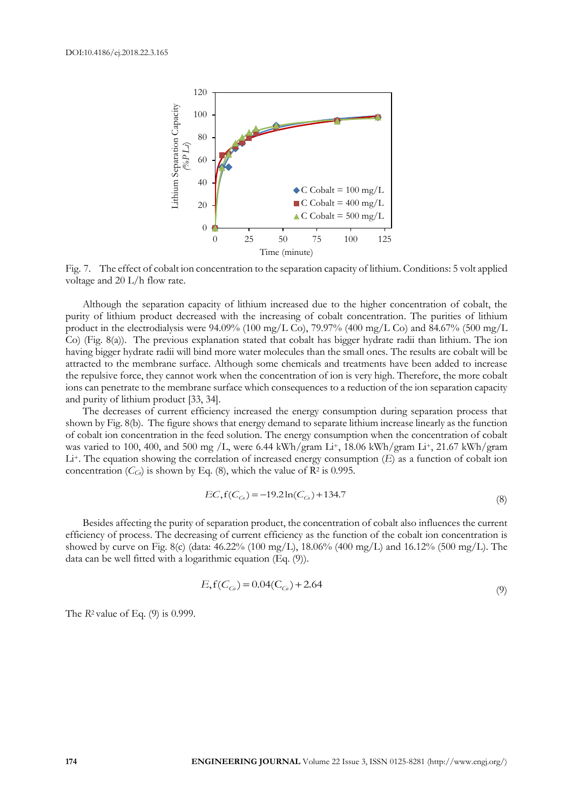

Fig. 7. The effect of cobalt ion concentration to the separation capacity of lithium. Conditions: 5 volt applied voltage and 20 L/h flow rate.

Although the separation capacity of lithium increased due to the higher concentration of cobalt, the purity of lithium product decreased with the increasing of cobalt concentration. The purities of lithium product in the electrodialysis were 94.09% (100 mg/L Co), 79.97% (400 mg/L Co) and 84.67% (500 mg/L Co) (Fig. 8(a)). The previous explanation stated that cobalt has bigger hydrate radii than lithium. The ion having bigger hydrate radii will bind more water molecules than the small ones. The results are cobalt will be attracted to the membrane surface. Although some chemicals and treatments have been added to increase the repulsive force, they cannot work when the concentration of ion is very high. Therefore, the more cobalt ions can penetrate to the membrane surface which consequences to a reduction of the ion separation capacity and purity of lithium product [33, 34].

The decreases of current efficiency increased the energy consumption during separation process that shown by Fig. 8(b). The figure shows that energy demand to separate lithium increase linearly as the function of cobalt ion concentration in the feed solution. The energy consumption when the concentration of cobalt was varied to 100, 400, and 500 mg /L, were 6.44 kWh/gram Li+, 18.06 kWh/gram Li+, 21.67 kWh/gram Li+. The equation showing the correlation of increased energy consumption (*E*) as a function of cobalt ion concentration ( $C_{C_0}$ ) is shown by Eq. (8), which the value of  $\mathbb{R}^2$  is 0.995.

$$
EC, f(C_{C_0}) = -19.2 \ln(C_{C_0}) + 134.7
$$
\n(8)

Besides affecting the purity of separation product, the concentration of cobalt also influences the current efficiency of process. The decreasing of current efficiency as the function of the cobalt ion concentration is showed by curve on Fig. 8(c) (data:  $46.22\%$  (100 mg/L), 18.06% (400 mg/L) and 16.12% (500 mg/L). The data can be well fitted with a logarithmic equation (Eq. (9)).

$$
E_{\rm t}f(C_{C_0}) = 0.04(C_{C_0}) + 2.64\tag{9}
$$

The *R*2 value of Eq. (9) is 0.999.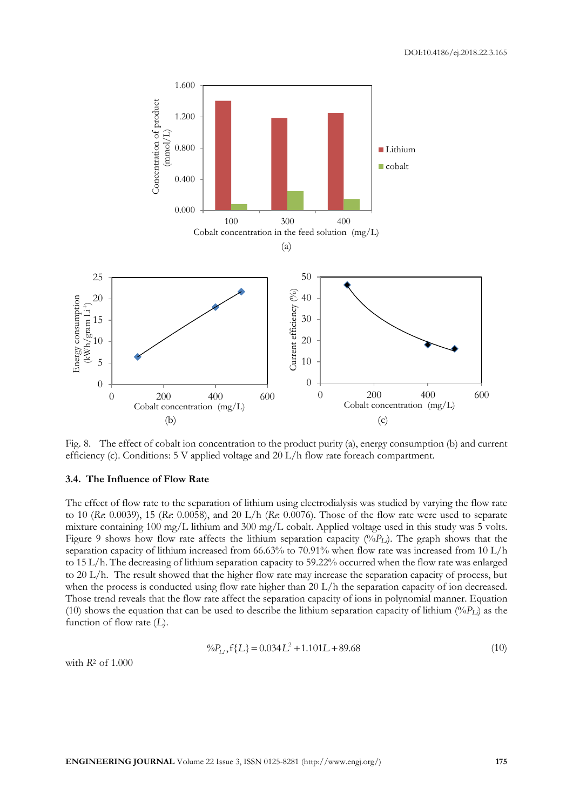

Fig. 8. The effect of cobalt ion concentration to the product purity (a), energy consumption (b) and current efficiency (c). Conditions: 5 V applied voltage and 20 L/h flow rate foreach compartment.

#### **3.4. The Influence of Flow Rate**

The effect of flow rate to the separation of lithium using electrodialysis was studied by varying the flow rate to 10 (*Re*: 0.0039), 15 (*Re*: 0.0058), and 20 L/h (*Re*: 0.0076). Those of the flow rate were used to separate mixture containing 100 mg/L lithium and 300 mg/L cobalt. Applied voltage used in this study was 5 volts. Figure 9 shows how flow rate affects the lithium separation capacity (%*PLi*). The graph shows that the separation capacity of lithium increased from 66.63% to 70.91% when flow rate was increased from 10 L/h to 15 L/h. The decreasing of lithium separation capacity to 59.22% occurred when the flow rate was enlarged to 20 L/h. The result showed that the higher flow rate may increase the separation capacity of process, but when the process is conducted using flow rate higher than 20 L/h the separation capacity of ion decreased. Those trend reveals that the flow rate affect the separation capacity of ions in polynomial manner. Equation (10) shows the equation that can be used to describe the lithium separation capacity of lithium ( $\%P_L$ ) as the function of flow rate (*L*).

$$
\%P_{Li}, f\{L\} = 0.034L^2 + 1.101L + 89.68\tag{10}
$$

with *R*2 of 1.000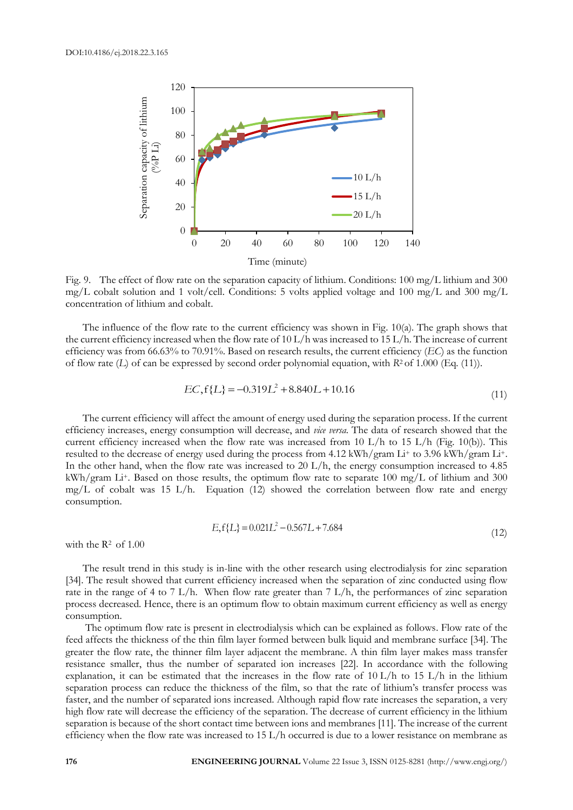

Fig. 9. The effect of flow rate on the separation capacity of lithium. Conditions: 100 mg/L lithium and 300 mg/L cobalt solution and 1 volt/cell. Conditions: 5 volts applied voltage and 100 mg/L and 300 mg/L concentration of lithium and cobalt.

The influence of the flow rate to the current efficiency was shown in Fig. 10(a). The graph shows that the current efficiency increased when the flow rate of 10 L/h was increased to 15 L/h. The increase of current efficiency was from 66.63% to 70.91%. Based on research results, the current efficiency (*EC*) as the function of flow rate (*L*) of can be expressed by second order polynomial equation, with *R*2 of 1.000 (Eq. (11)).

$$
EC, f\{L\} = -0.319L^2 + 8.840L + 10.16\tag{11}
$$

The current efficiency will affect the amount of energy used during the separation process. If the current efficiency increases, energy consumption will decrease, and *vice versa*. The data of research showed that the current efficiency increased when the flow rate was increased from 10 L/h to 15 L/h (Fig. 10(b)). This resulted to the decrease of energy used during the process from 4.12 kWh/gram Li+ to 3.96 kWh/gram Li+. In the other hand, when the flow rate was increased to 20 L/h, the energy consumption increased to 4.85 kWh/gram Li<sup>+</sup>. Based on those results, the optimum flow rate to separate 100 mg/L of lithium and 300 mg/L of cobalt was 15 L/h. Equation (12) showed the correlation between flow rate and energy consumption.

$$
E, f\{L\} = 0.021L^2 - 0.567L + 7.684\tag{12}
$$

with the  $R^2$  of 1.00

The result trend in this study is in-line with the other research using electrodialysis for zinc separation [34]. The result showed that current efficiency increased when the separation of zinc conducted using flow rate in the range of 4 to 7 L/h. When flow rate greater than 7 L/h, the performances of zinc separation process decreased. Hence, there is an optimum flow to obtain maximum current efficiency as well as energy consumption.

The optimum flow rate is present in electrodialysis which can be explained as follows. Flow rate of the feed affects the thickness of the thin film layer formed between bulk liquid and membrane surface [34]. The greater the flow rate, the thinner film layer adjacent the membrane. A thin film layer makes mass transfer resistance smaller, thus the number of separated ion increases [22]. In accordance with the following explanation, it can be estimated that the increases in the flow rate of  $10 L/h$  to  $15 L/h$  in the lithium separation process can reduce the thickness of the film, so that the rate of lithium's transfer process was faster, and the number of separated ions increased. Although rapid flow rate increases the separation, a very high flow rate will decrease the efficiency of the separation. The decrease of current efficiency in the lithium separation is because of the short contact time between ions and membranes [11]. The increase of the current efficiency when the flow rate was increased to 15 L/h occurred is due to a lower resistance on membrane as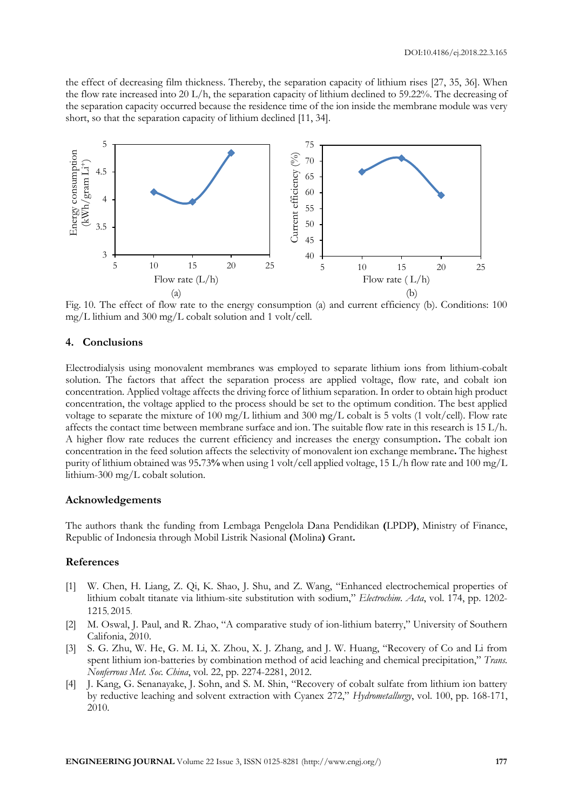the effect of decreasing film thickness. Thereby, the separation capacity of lithium rises [27, 35, 36]. When the flow rate increased into 20 L/h, the separation capacity of lithium declined to 59.22%. The decreasing of the separation capacity occurred because the residence time of the ion inside the membrane module was very short, so that the separation capacity of lithium declined [11, 34].



Fig. 10. The effect of flow rate to the energy consumption (a) and current efficiency (b). Conditions: 100 mg/L lithium and 300 mg/L cobalt solution and 1 volt/cell.

## **4. Conclusions**

Electrodialysis using monovalent membranes was employed to separate lithium ions from lithium-cobalt solution. The factors that affect the separation process are applied voltage, flow rate, and cobalt ion concentration. Applied voltage affects the driving force of lithium separation. In order to obtain high product concentration, the voltage applied to the process should be set to the optimum condition. The best applied voltage to separate the mixture of 100 mg/L lithium and 300 mg/L cobalt is 5 volts (1 volt/cell). Flow rate affects the contact time between membrane surface and ion. The suitable flow rate in this research is 15 L/h. A higher flow rate reduces the current efficiency and increases the energy consumption**.** The cobalt ion concentration in the feed solution affects the selectivity of monovalent ion exchange membrane**.** The highest purity of lithium obtained was 95**.**73**%** when using 1 volt/cell applied voltage, 15 L/h flow rate and 100 mg/L lithium-300 mg/L cobalt solution.

#### **Acknowledgements**

The authors thank the funding from Lembaga Pengelola Dana Pendidikan **(**LPDP**)**, Ministry of Finance, Republic of Indonesia through Mobil Listrik Nasional **(**Molina**)** Grant**.**

## **References**

- [1] W. Chen, H. Liang, Z. Qi, K. Shao, J. Shu, and Z. Wang, "Enhanced electrochemical properties of lithium cobalt titanate via lithium-site substitution with sodium," *Electrochim. Acta*, vol. 174, pp. 1202- 1215, 2015.
- [2] M. Oswal, J. Paul, and R. Zhao, "A comparative study of ion-lithium baterry," University of Southern Califonia, 2010.
- [3] S. G. Zhu, W. He, G. M. Li, X. Zhou, X. J. Zhang, and J. W. Huang, "Recovery of Co and Li from spent lithium ion-batteries by combination method of acid leaching and chemical precipitation," *Trans. Nonferrous Met. Soc. China*, vol. 22, pp. 2274-2281, 2012.
- [4] J. Kang, G. Senanayake, J. Sohn, and S. M. Shin, "Recovery of cobalt sulfate from lithium ion battery by reductive leaching and solvent extraction with Cyanex 272," *Hydrometallurgy*, vol. 100, pp. 168-171, 2010.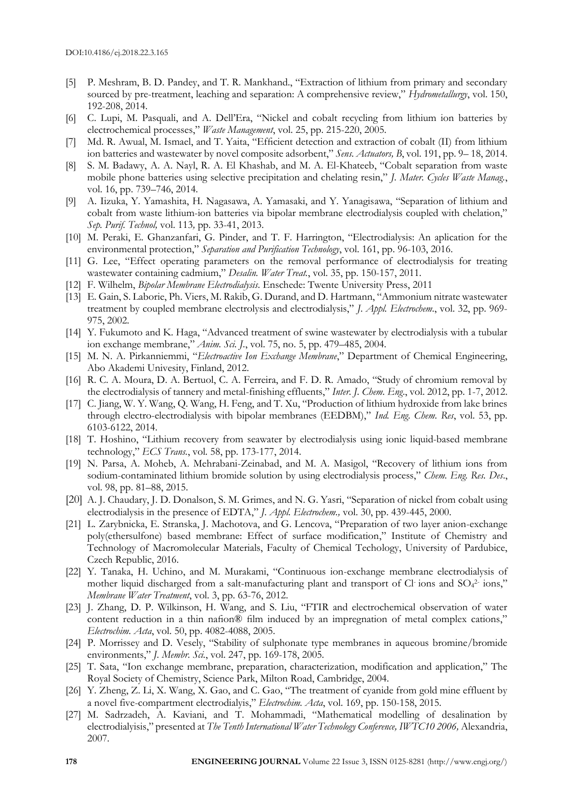- [5] P. Meshram, B. D. Pandey, and T. R. Mankhand., "Extraction of lithium from primary and secondary sourced by pre-treatment, leaching and separation: A comprehensive review," *Hydrometallurgy*, vol. 150, 192-208, 2014.
- [6] C. Lupi, M. Pasquali, and A. Dell'Era, "Nickel and cobalt recycling from lithium ion batteries by electrochemical processes," *Waste Management*, vol. 25, pp. 215-220, 2005.
- [7] Md. R. Awual, M. Ismael, and T. Yaita, "Efficient detection and extraction of cobalt (II) from lithium ion batteries and wastewater by novel composite adsorbent," *Sens. Actuators, B*, vol. 191, pp. 9– 18, 2014.
- [8] S. M. Badawy, A. A. Nayl, R. A. El Khashab, and M. A. El-Khateeb, "Cobalt separation from waste mobile phone batteries using selective precipitation and chelating resin," *J. Mater. Cycles Waste Manag.*, vol. 16, pp. 739–746, 2014.
- [9] A. Iizuka, Y. Yamashita, H. Nagasawa, A. Yamasaki, and Y. Yanagisawa, "Separation of lithium and cobalt from waste lithium-ion batteries via bipolar membrane electrodialysis coupled with chelation," *Sep. Purif. Technol,* vol. 113*,* pp. 33-41, 2013.
- [10] M. Peraki, E. Ghanzanfari, G. Pinder, and T. F. Harrington, "Electrodialysis: An aplication for the environmental protection," *Separation and Purification Technology*, vol. 161, pp. 96-103, 2016.
- [11] G. Lee, "Effect operating parameters on the removal performance of electrodialysis for treating wastewater containing cadmium," *Desalin. Water Treat.*, vol. 35, pp. 150-157, 2011.
- [12] F. Wilhelm, *Bipolar Membrane Electrodialysis*. Enschede: Twente University Press, 2011
- [13] E. Gain, S. Laborie, Ph. Viers, M. Rakib, G. Durand, and D. Hartmann, "Ammonium nitrate wastewater treatment by coupled membrane electrolysis and electrodialysis," *J. Appl. Electrochem.*, vol. 32, pp. 969- 975, 2002.
- [14] Y. Fukumoto and K. Haga, "Advanced treatment of swine wastewater by electrodialysis with a tubular ion exchange membrane," *Anim. Sci. J.*, vol. [75,](http://onlinelibrary.wiley.com/doi/10.1111/asj.2004.75.issue-5/issuetoc) no. 5, pp. 479–485, 2004.
- [15] M. N. A. Pirkanniemmi, "*Electroactive Ion Exchange Membrane*," Department of Chemical Engineering, Abo Akademi Univesity, Finland, 2012.
- [16] R. C. A. Moura, D. A. Bertuol, C. A. Ferreira, and F. D. R. Amado, "Study of chromium removal by the electrodialysis of tannery and metal-finishing effluents," *Inter. J. Chem. Eng*., vol. 2012, pp. 1-7, 2012.
- [17] C. Jiang, W. Y. Wang, Q. Wang, H. Feng, and T. Xu, "Production of lithium hydroxide from lake brines through electro-electrodialysis with bipolar membranes (EEDBM)," *Ind. Eng. Chem. Res*, vol. 53, pp. 6103-6122, 2014.
- [18] T. Hoshino, "Lithium recovery from seawater by electrodialysis using ionic liquid-based membrane technology," *ECS Trans.*, vol. 58, pp. 173-177, 2014.
- [19] N. Parsa, A. Moheb, A. Mehrabani-Zeinabad, and M. A. Masigol, "Recovery of lithium ions from sodium-contaminated lithium bromide solution by using electrodialysis process," *Chem. Eng. Res. Des*., vol. 98, pp. 81–88, 2015.
- [20] A. J. Chaudary, J. D. Donalson, S. M. Grimes, and N. G. Yasri, "Separation of nickel from cobalt using electrodialysis in the presence of EDTA," *J. Appl. Electrochem.,* vol. 30, pp. 439-445, 2000.
- [21] L. Zarybnicka, E. Stranska, J. Machotova, and G. Lencova, "Preparation of two layer anion-exchange poly(ethersulfone) based membrane: Effect of surface modification," Institute of Chemistry and Technology of Macromolecular Materials, Faculty of Chemical Techology, University of Pardubice, Czech Republic, 2016.
- [22] Y. Tanaka, H. Uchino, and M. Murakami, "Continuous ion-exchange membrane electrodialysis of mother liquid discharged from a salt-manufacturing plant and transport of Cl ions and SO<sub>4</sub><sup>2</sup> ions," *Membrane Water Treatment*, vol. 3, pp. 63-76, 2012.
- [23] J. Zhang, D. P. Wilkinson, H. Wang, and S. Liu, "FTIR and electrochemical observation of water content reduction in a thin nafion® film induced by an impregnation of metal complex cations," *Electrochim. Acta*, vol. 50, pp. 4082-4088, 2005.
- [24] P. Morrissey and D. Vesely, "Stability of sulphonate type membranes in aqueous bromine/bromide environments," *J. Membr. Sci.*, vol. 247, pp. 169-178, 2005.
- [25] T. Sata, "Ion exchange membrane, preparation, characterization, modification and application," The Royal Society of Chemistry, Science Park, Milton Road, Cambridge, 2004.
- [26] Y. Zheng, Z. Li, X. Wang, X. Gao, and C. Gao, "The treatment of cyanide from gold mine effluent by a novel five-compartment electrodialyis," *Electrochim. Acta*, vol. 169, pp. 150-158, 2015.
- [27] M. Sadrzadeh, A. Kaviani, and T. Mohammadi, "Mathematical modelling of desalination by electrodialyisis," presented at *The Tenth International Water Technology Conference, IWTC10 2006,* Alexandria, 2007.